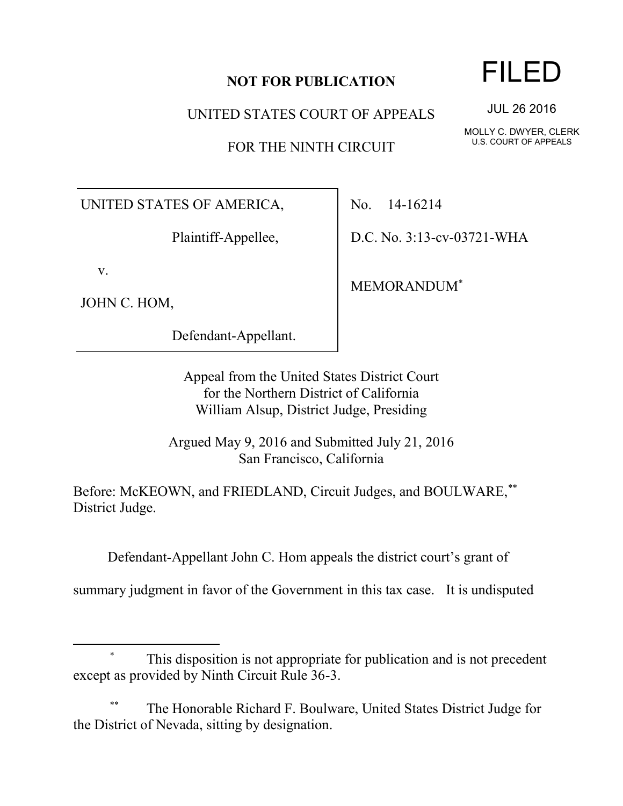## **NOT FOR PUBLICATION**

UNITED STATES COURT OF APPEALS

FOR THE NINTH CIRCUIT

UNITED STATES OF AMERICA,

Plaintiff-Appellee,

v.

 $\overline{a}$ 

JOHN C. HOM,

Defendant-Appellant.

No. 14-16214

D.C. No. 3:13-cv-03721-WHA

MEMORANDUM\*

Appeal from the United States District Court for the Northern District of California William Alsup, District Judge, Presiding

Argued May 9, 2016 and Submitted July 21, 2016 San Francisco, California

Before: McKEOWN, and FRIEDLAND, Circuit Judges, and BOULWARE,\*\* District Judge.

Defendant-Appellant John C. Hom appeals the district court's grant of

summary judgment in favor of the Government in this tax case. It is undisputed

## \* This disposition is not appropriate for publication and is not precedent except as provided by Ninth Circuit Rule 36-3.

The Honorable Richard F. Boulware, United States District Judge for the District of Nevada, sitting by designation.

## FILED

JUL 26 2016

MOLLY C. DWYER, CLERK U.S. COURT OF APPEALS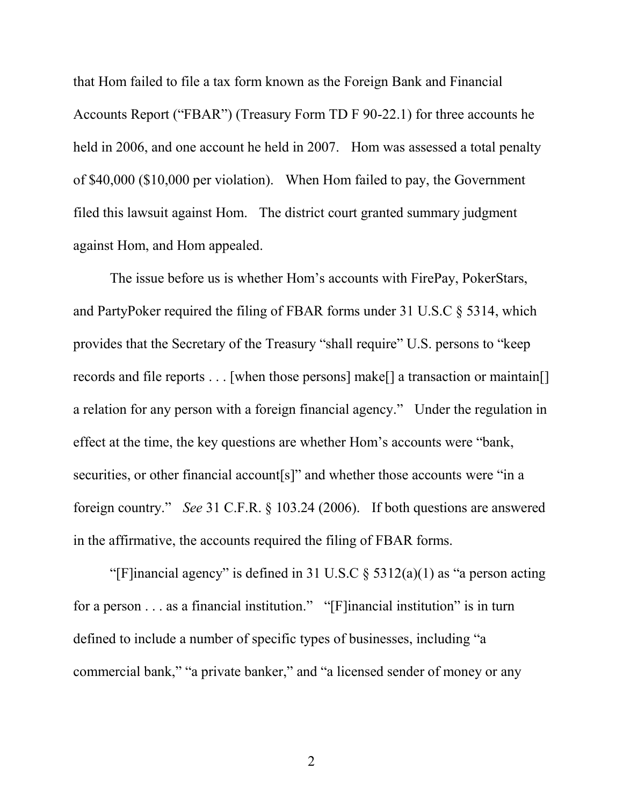that Hom failed to file a tax form known as the Foreign Bank and Financial Accounts Report ("FBAR") (Treasury Form TD F 90-22.1) for three accounts he held in 2006, and one account he held in 2007. Hom was assessed a total penalty of \$40,000 (\$10,000 per violation). When Hom failed to pay, the Government filed this lawsuit against Hom. The district court granted summary judgment against Hom, and Hom appealed.

The issue before us is whether Hom's accounts with FirePay, PokerStars, and PartyPoker required the filing of FBAR forms under 31 U.S.C § 5314, which provides that the Secretary of the Treasury "shall require" U.S. persons to "keep records and file reports . . . [when those persons] make[] a transaction or maintain[] a relation for any person with a foreign financial agency." Under the regulation in effect at the time, the key questions are whether Hom's accounts were "bank, securities, or other financial account[s]" and whether those accounts were "in a foreign country." *See* 31 C.F.R. § 103.24 (2006). If both questions are answered in the affirmative, the accounts required the filing of FBAR forms.

"[F]inancial agency" is defined in 31 U.S.C  $\S$  5312(a)(1) as "a person acting for a person . . . as a financial institution." "[F]inancial institution" is in turn defined to include a number of specific types of businesses, including "a commercial bank," "a private banker," and "a licensed sender of money or any

2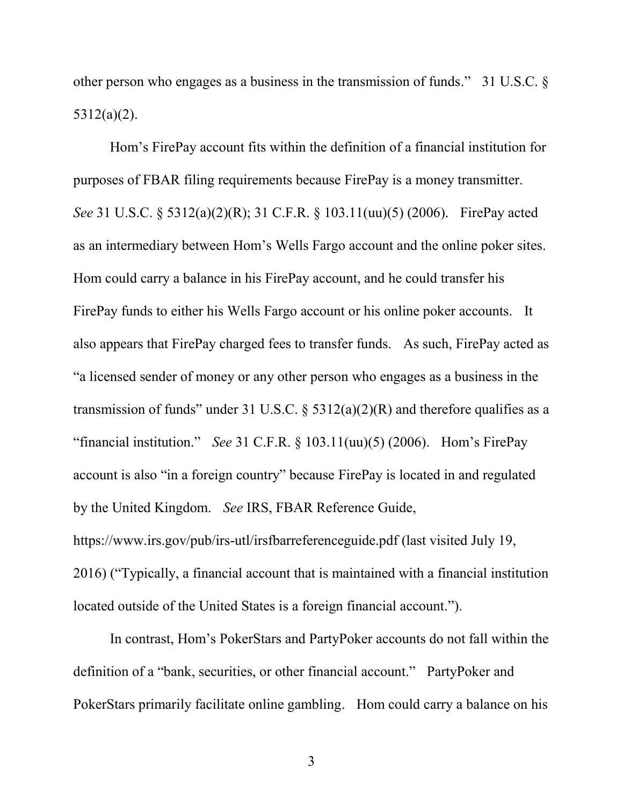other person who engages as a business in the transmission of funds." 31 U.S.C. § 5312(a)(2).

Hom's FirePay account fits within the definition of a financial institution for purposes of FBAR filing requirements because FirePay is a money transmitter. *See* 31 U.S.C. § 5312(a)(2)(R); 31 C.F.R. § 103.11(uu)(5) (2006). FirePay acted as an intermediary between Hom's Wells Fargo account and the online poker sites. Hom could carry a balance in his FirePay account, and he could transfer his FirePay funds to either his Wells Fargo account or his online poker accounts. It also appears that FirePay charged fees to transfer funds. As such, FirePay acted as "a licensed sender of money or any other person who engages as a business in the transmission of funds" under 31 U.S.C.  $\S$  5312(a)(2)(R) and therefore qualifies as a "financial institution." *See* 31 C.F.R. § 103.11(uu)(5) (2006). Hom's FirePay account is also "in a foreign country" because FirePay is located in and regulated by the United Kingdom. *See* IRS, FBAR Reference Guide, https://www.irs.gov/pub/irs-utl/irsfbarreferenceguide.pdf (last visited July 19, 2016) ("Typically, a financial account that is maintained with a financial institution located outside of the United States is a foreign financial account.").

In contrast, Hom's PokerStars and PartyPoker accounts do not fall within the definition of a "bank, securities, or other financial account." PartyPoker and PokerStars primarily facilitate online gambling. Hom could carry a balance on his

3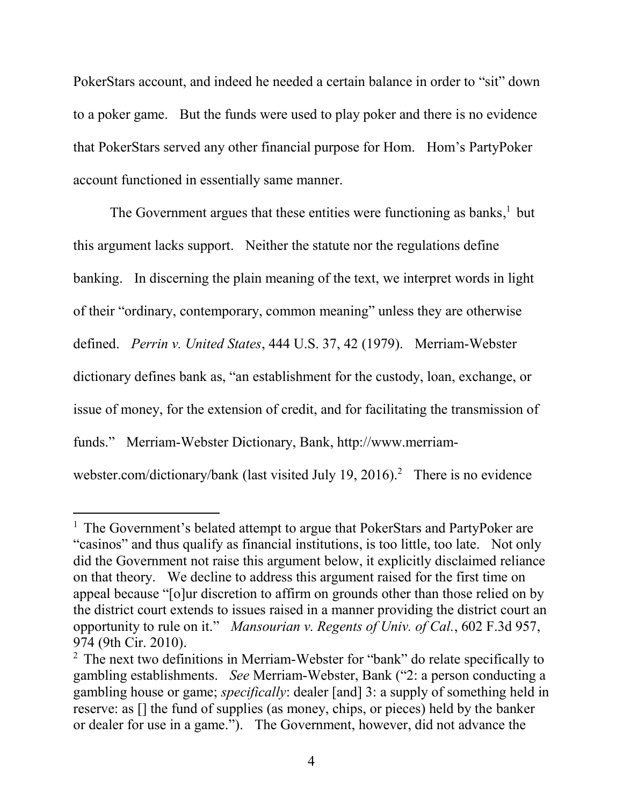PokerStars account, and indeed he needed a certain balance in order to "sit" down to a poker game. But the funds were used to play poker and there is no evidence that PokerStars served any other financial purpose for Hom. Hom's PartyPoker account functioned in essentially same manner.

The Government argues that these entities were functioning as banks,<sup>1</sup> but this argument lacks support. Neither the statute nor the regulations define banking. In discerning the plain meaning of the text, we interpret words in light of their "ordinary, contemporary, common meaning" unless they are otherwise defined. *Perrin v. United States*, 444 U.S. 37, 42 (1979). Merriam-Webster dictionary defines bank as, "an establishment for the custody, loan, exchange, or issue of money, for the extension of credit, and for facilitating the transmission of funds." Merriam-Webster Dictionary, Bank, http://www.merriamwebster.com/dictionary/bank (last visited July 19, 2016).<sup>2</sup> There is no evidence

 $\overline{a}$ 

<sup>&</sup>lt;sup>1</sup> The Government's belated attempt to argue that PokerStars and PartyPoker are "casinos" and thus qualify as financial institutions, is too little, too late. Not only did the Government not raise this argument below, it explicitly disclaimed reliance on that theory. We decline to address this argument raised for the first time on appeal because "[o]ur discretion to affirm on grounds other than those relied on by the district court extends to issues raised in a manner providing the district court an opportunity to rule on it." *Mansourian v. Regents of Univ. of Cal.*, 602 F.3d 957, 974 (9th Cir. 2010).

<sup>&</sup>lt;sup>2</sup> The next two definitions in Merriam-Webster for "bank" do relate specifically to gambling establishments. *See* Merriam-Webster, Bank ("2: a person conducting a gambling house or game; *specifically*: dealer [and] 3: a supply of something held in reserve: as [] the fund of supplies (as money, chips, or pieces) held by the banker or dealer for use in a game."). The Government, however, did not advance the